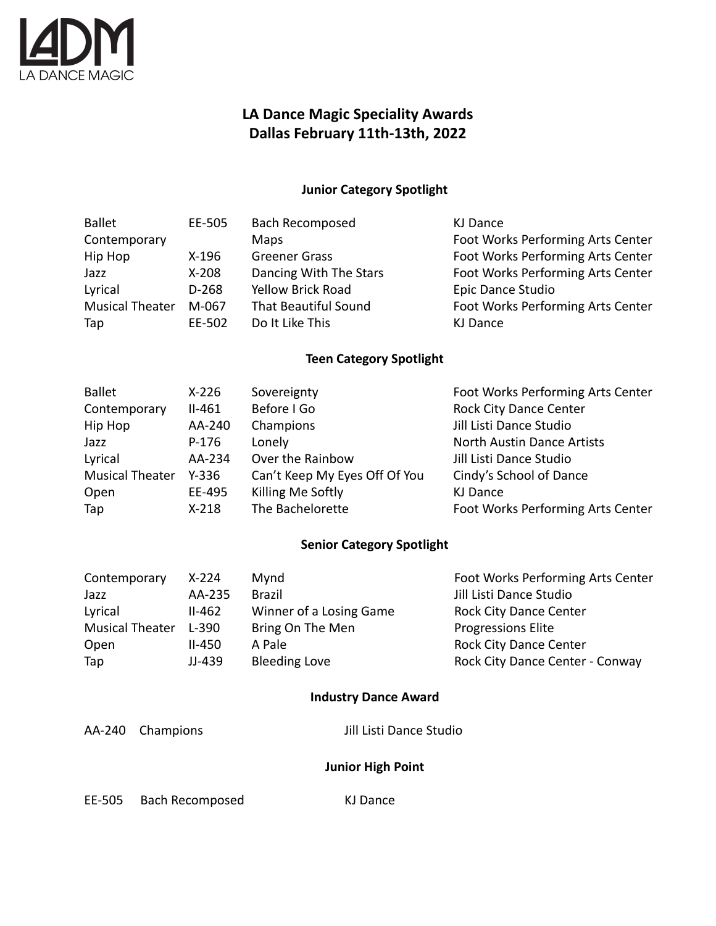

## **LA Dance Magic Speciality Awards Dallas February 11th-13th, 2022**

### **Junior Category Spotlight**

| <b>Ballet</b>   | EE-505  | <b>Bach Recomposed</b>      | KJ Dance                          |
|-----------------|---------|-----------------------------|-----------------------------------|
| Contemporary    |         | <b>Maps</b>                 | Foot Works Performing Arts Center |
| Hip Hop         | $X-196$ | <b>Greener Grass</b>        | Foot Works Performing Arts Center |
| Jazz            | $X-208$ | Dancing With The Stars      | Foot Works Performing Arts Center |
| Lyrical         | $D-268$ | <b>Yellow Brick Road</b>    | Epic Dance Studio                 |
| Musical Theater | M-067   | <b>That Beautiful Sound</b> | Foot Works Performing Arts Center |
| Tap             | EE-502  | Do It Like This             | KJ Dance                          |
|                 |         |                             |                                   |

#### **Teen Category Spotlight**

| <b>Ballet</b>          | $X-226$  | Sovereignty                   | Foot Works Performing Arts Center |
|------------------------|----------|-------------------------------|-----------------------------------|
| Contemporary           | $II-461$ | Before I Go                   | <b>Rock City Dance Center</b>     |
| Hip Hop                | AA-240   | Champions                     | Jill Listi Dance Studio           |
| Jazz                   | $P-176$  | Lonely                        | North Austin Dance Artists        |
| Lyrical                | AA-234   | Over the Rainbow              | Jill Listi Dance Studio           |
| <b>Musical Theater</b> | $Y-336$  | Can't Keep My Eyes Off Of You | Cindy's School of Dance           |
| Open                   | EE-495   | Killing Me Softly             | KJ Dance                          |
| Tap                    | $X-218$  | The Bachelorette              | Foot Works Performing Arts Center |

### **Senior Category Spotlight**

| Contemporary           | $X-224$  | Mynd                    | Foot Works Performing Arts Center |
|------------------------|----------|-------------------------|-----------------------------------|
| Jazz                   | AA-235   | <b>Brazil</b>           | Jill Listi Dance Studio           |
| Lyrical                | $II-462$ | Winner of a Losing Game | <b>Rock City Dance Center</b>     |
| <b>Musical Theater</b> | $L-390$  | Bring On The Men        | <b>Progressions Elite</b>         |
| Open                   | II-450   | A Pale                  | <b>Rock City Dance Center</b>     |
| Tap                    | JJ-439   | <b>Bleeding Love</b>    | Rock City Dance Center - Conway   |

### **Industry Dance Award**

AA-240 Champions Jill Listi Dance Studio

### **Junior High Point**

EE-505 Bach Recomposed KJ Dance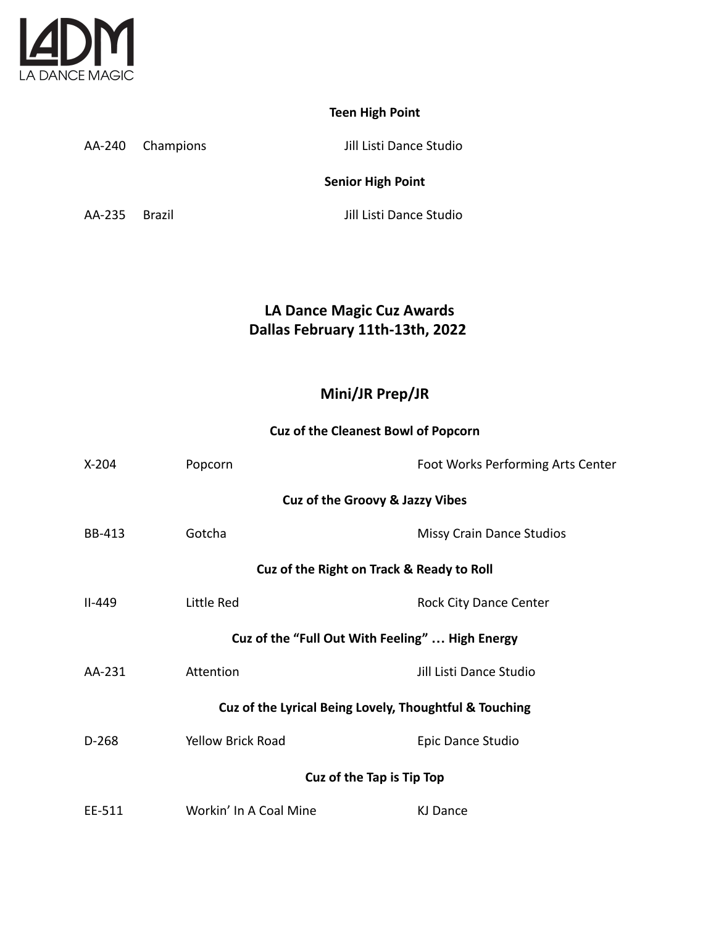

# **Teen High Point**

AA-240 Champions Jill Listi Dance Studio

### **Senior High Point**

AA-235 Brazil Jill Listi Dance Studio

# **LA Dance Magic Cuz Awards Dallas February 11th-13th, 2022**

## **Mini/JR Prep/JR**

### **Cuz of the Cleanest Bowl of Popcorn**

| $X-204$                                                | Popcorn                  | Foot Works Performing Arts Center |  |  |
|--------------------------------------------------------|--------------------------|-----------------------------------|--|--|
| Cuz of the Groovy & Jazzy Vibes                        |                          |                                   |  |  |
| BB-413                                                 | Gotcha                   | <b>Missy Crain Dance Studios</b>  |  |  |
| Cuz of the Right on Track & Ready to Roll              |                          |                                   |  |  |
| $II-449$                                               | Little Red               | <b>Rock City Dance Center</b>     |  |  |
| Cuz of the "Full Out With Feeling"  High Energy        |                          |                                   |  |  |
| AA-231                                                 | Attention                | Jill Listi Dance Studio           |  |  |
| Cuz of the Lyrical Being Lovely, Thoughtful & Touching |                          |                                   |  |  |
| $D-268$                                                | <b>Yellow Brick Road</b> | Epic Dance Studio                 |  |  |
| Cuz of the Tap is Tip Top                              |                          |                                   |  |  |
| EE-511                                                 | Workin' In A Coal Mine   | KJ Dance                          |  |  |